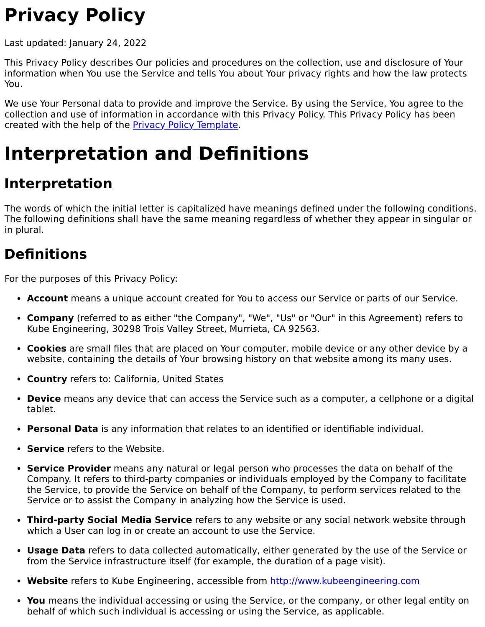# **Privacy Policy**

Last updated: January 24, 2022

This Privacy Policy describes Our policies and procedures on the collection, use and disclosure of Your information when You use the Service and tells You about Your privacy rights and how the law protects You.

We use Your Personal data to provide and improve the Service. By using the Service, You agree to the collection and use of information in accordance with this Privacy Policy. This Privacy Policy has been created with the help of the **Privacy Policy Template**.

## **Interpretation and Definitions**

## **Interpretation**

The words of which the initial letter is capitalized have meanings defined under the following conditions. The following definitions shall have the same meaning regardless of whether they appear in singular or in plural.

### **Definitions**

For the purposes of this Privacy Policy:

- **Account** means a unique account created for You to access our Service or parts of our Service.
- **Company** (referred to as either "the Company", "We", "Us" or "Our" in this Agreement) refers to Kube Engineering, 30298 Trois Valley Street, Murrieta, CA 92563.
- **Cookies** are small files that are placed on Your computer, mobile device or any other device by a website, containing the details of Your browsing history on that website among its many uses.
- **Country** refers to: California, United States
- **Device** means any device that can access the Service such as a computer, a cellphone or a digital tablet.
- **Personal Data** is any information that relates to an identified or identifiable individual.
- **Service** refers to the Website.
- **Service Provider** means any natural or legal person who processes the data on behalf of the Company. It refers to third-party companies or individuals employed by the Company to facilitate the Service, to provide the Service on behalf of the Company, to perform services related to the Service or to assist the Company in analyzing how the Service is used.
- **Third-party Social Media Service** refers to any website or any social network website through which a User can log in or create an account to use the Service.
- **Usage Data** refers to data collected automatically, either generated by the use of the Service or from the Service infrastructure itself (for example, the duration of a page visit).
- **Website** refers to Kube Engineering, accessible from [http://www.kubeengineering.com](http://www.kubeengineering.com/)
- **You** means the individual accessing or using the Service, or the company, or other legal entity on behalf of which such individual is accessing or using the Service, as applicable.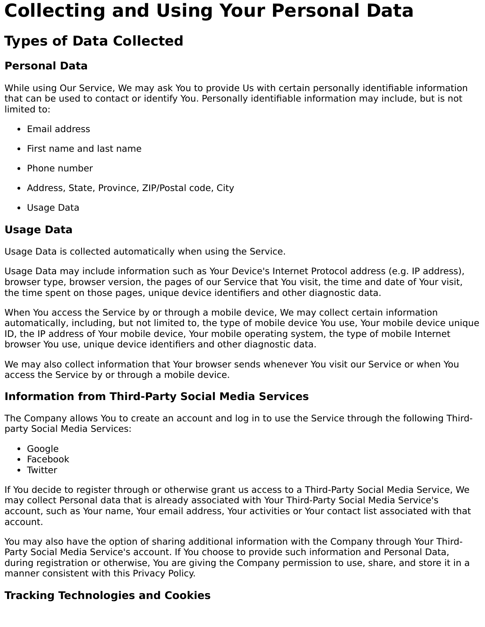## **Collecting and Using Your Personal Data**

## **Types of Data Collected**

### **Personal Data**

While using Our Service, We may ask You to provide Us with certain personally identifiable information that can be used to contact or identify You. Personally identifiable information may include, but is not limited to:

- Email address
- First name and last name
- Phone number
- Address, State, Province, ZIP/Postal code, City
- Usage Data

### **Usage Data**

Usage Data is collected automatically when using the Service.

Usage Data may include information such as Your Device's Internet Protocol address (e.g. IP address), browser type, browser version, the pages of our Service that You visit, the time and date of Your visit, the time spent on those pages, unique device identifiers and other diagnostic data.

When You access the Service by or through a mobile device, We may collect certain information automatically, including, but not limited to, the type of mobile device You use, Your mobile device unique ID, the IP address of Your mobile device, Your mobile operating system, the type of mobile Internet browser You use, unique device identifiers and other diagnostic data.

We may also collect information that Your browser sends whenever You visit our Service or when You access the Service by or through a mobile device.

### **Information from Third-Party Social Media Services**

The Company allows You to create an account and log in to use the Service through the following Thirdparty Social Media Services:

- Google
- Facebook
- Twitter

If You decide to register through or otherwise grant us access to a Third-Party Social Media Service, We may collect Personal data that is already associated with Your Third-Party Social Media Service's account, such as Your name, Your email address, Your activities or Your contact list associated with that account.

You may also have the option of sharing additional information with the Company through Your Third-Party Social Media Service's account. If You choose to provide such information and Personal Data, during registration or otherwise, You are giving the Company permission to use, share, and store it in a manner consistent with this Privacy Policy.

### **Tracking Technologies and Cookies**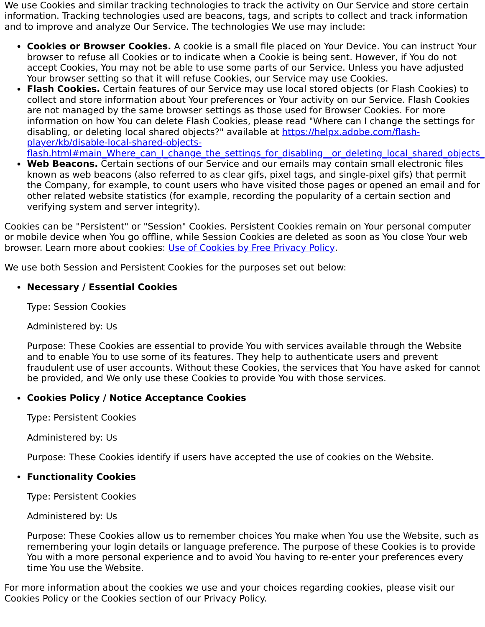We use Cookies and similar tracking technologies to track the activity on Our Service and store certain information. Tracking technologies used are beacons, tags, and scripts to collect and track information and to improve and analyze Our Service. The technologies We use may include:

- **Cookies or Browser Cookies.** A cookie is a small file placed on Your Device. You can instruct Your browser to refuse all Cookies or to indicate when a Cookie is being sent. However, if You do not accept Cookies, You may not be able to use some parts of our Service. Unless you have adjusted Your browser setting so that it will refuse Cookies, our Service may use Cookies.
- **Flash Cookies.** Certain features of our Service may use local stored objects (or Flash Cookies) to collect and store information about Your preferences or Your activity on our Service. Flash Cookies are not managed by the same browser settings as those used for Browser Cookies. For more information on how You can delete Flash Cookies, please read "Where can I change the settings for disabling, or deleting local shared objects?" available at https://helpx.adobe.com/flashplayer/kb/disable-local-shared-objects-

flash.html#main\_Where\_can\_I\_change\_the\_settings\_for\_disabling\_\_or\_deleting\_local\_shared\_objects

**Web Beacons.** Certain sections of our Service and our emails may contain small electronic files known as web beacons (also referred to as clear gifs, pixel tags, and single-pixel gifs) that permit the Company, for example, to count users who have visited those pages or opened an email and for other related website statistics (for example, recording the popularity of a certain section and verifying system and server integrity).

Cookies can be "Persistent" or "Session" Cookies. Persistent Cookies remain on Your personal computer or mobile device when You go offline, while Session Cookies are deleted as soon as You close Your web browser. Learn more about cookies: [Use of Cookies by Free Privacy Policy.](https://www.freeprivacypolicy.com/blog/sample-privacy-policy-template/#Use_Of_Cookies_And_Tracking)

We use both Session and Persistent Cookies for the purposes set out below:

#### **Necessary / Essential Cookies**

Type: Session Cookies

Administered by: Us

Purpose: These Cookies are essential to provide You with services available through the Website and to enable You to use some of its features. They help to authenticate users and prevent fraudulent use of user accounts. Without these Cookies, the services that You have asked for cannot be provided, and We only use these Cookies to provide You with those services.

#### **Cookies Policy / Notice Acceptance Cookies**

Type: Persistent Cookies

Administered by: Us

Purpose: These Cookies identify if users have accepted the use of cookies on the Website.

#### **Functionality Cookies**

Type: Persistent Cookies

Administered by: Us

Purpose: These Cookies allow us to remember choices You make when You use the Website, such as remembering your login details or language preference. The purpose of these Cookies is to provide You with a more personal experience and to avoid You having to re-enter your preferences every time You use the Website.

For more information about the cookies we use and your choices regarding cookies, please visit our Cookies Policy or the Cookies section of our Privacy Policy.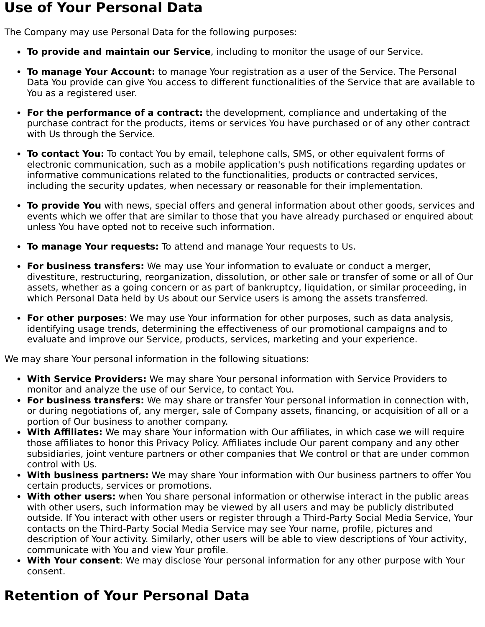### **Use of Your Personal Data**

The Company may use Personal Data for the following purposes:

- **To provide and maintain our Service**, including to monitor the usage of our Service.
- **To manage Your Account:** to manage Your registration as a user of the Service. The Personal Data You provide can give You access to different functionalities of the Service that are available to You as a registered user.
- **For the performance of a contract:** the development, compliance and undertaking of the purchase contract for the products, items or services You have purchased or of any other contract with Us through the Service.
- **To contact You:** To contact You by email, telephone calls, SMS, or other equivalent forms of electronic communication, such as a mobile application's push notifications regarding updates or informative communications related to the functionalities, products or contracted services, including the security updates, when necessary or reasonable for their implementation.
- **To provide You** with news, special offers and general information about other goods, services and events which we offer that are similar to those that you have already purchased or enquired about unless You have opted not to receive such information.
- **To manage Your requests:** To attend and manage Your requests to Us.
- **For business transfers:** We may use Your information to evaluate or conduct a merger, divestiture, restructuring, reorganization, dissolution, or other sale or transfer of some or all of Our assets, whether as a going concern or as part of bankruptcy, liquidation, or similar proceeding, in which Personal Data held by Us about our Service users is among the assets transferred.
- **For other purposes**: We may use Your information for other purposes, such as data analysis, identifying usage trends, determining the effectiveness of our promotional campaigns and to evaluate and improve our Service, products, services, marketing and your experience.

We may share Your personal information in the following situations:

- **With Service Providers:** We may share Your personal information with Service Providers to monitor and analyze the use of our Service, to contact You.
- **For business transfers:** We may share or transfer Your personal information in connection with, or during negotiations of, any merger, sale of Company assets, financing, or acquisition of all or a portion of Our business to another company.
- **With Affiliates:** We may share Your information with Our affiliates, in which case we will require those affiliates to honor this Privacy Policy. Affiliates include Our parent company and any other subsidiaries, joint venture partners or other companies that We control or that are under common control with Us.
- **With business partners:** We may share Your information with Our business partners to offer You certain products, services or promotions.
- **With other users:** when You share personal information or otherwise interact in the public areas with other users, such information may be viewed by all users and may be publicly distributed outside. If You interact with other users or register through a Third-Party Social Media Service, Your contacts on the Third-Party Social Media Service may see Your name, profile, pictures and description of Your activity. Similarly, other users will be able to view descriptions of Your activity, communicate with You and view Your profile.
- **With Your consent**: We may disclose Your personal information for any other purpose with Your consent.

## **Retention of Your Personal Data**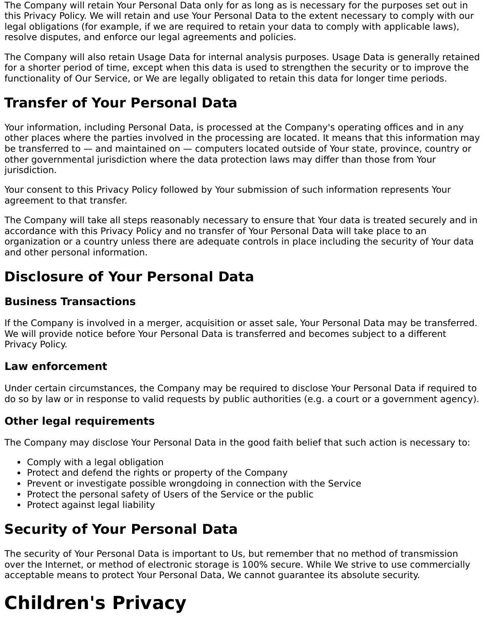The Company will retain Your Personal Data only for as long as is necessary for the purposes set out in this Privacy Policy. We will retain and use Your Personal Data to the extent necessary to comply with our legal obligations (for example, if we are required to retain your data to comply with applicable laws), resolve disputes, and enforce our legal agreements and policies.

The Company will also retain Usage Data for internal analysis purposes. Usage Data is generally retained for a shorter period of time, except when this data is used to strengthen the security or to improve the functionality of Our Service, or We are legally obligated to retain this data for longer time periods.

## **Transfer of Your Personal Data**

Your information, including Personal Data, is processed at the Company's operating offices and in any other places where the parties involved in the processing are located. It means that this information may be transferred to — and maintained on — computers located outside of Your state, province, country or other governmental jurisdiction where the data protection laws may differ than those from Your jurisdiction.

Your consent to this Privacy Policy followed by Your submission of such information represents Your agreement to that transfer.

The Company will take all steps reasonably necessary to ensure that Your data is treated securely and in accordance with this Privacy Policy and no transfer of Your Personal Data will take place to an organization or a country unless there are adequate controls in place including the security of Your data and other personal information.

## **Disclosure of Your Personal Data**

#### **Business Transactions**

If the Company is involved in a merger, acquisition or asset sale, Your Personal Data may be transferred. We will provide notice before Your Personal Data is transferred and becomes subject to a different Privacy Policy.

#### **Law enforcement**

Under certain circumstances, the Company may be required to disclose Your Personal Data if required to do so by law or in response to valid requests by public authorities (e.g. a court or a government agency).

#### **Other legal requirements**

The Company may disclose Your Personal Data in the good faith belief that such action is necessary to:

- Comply with a legal obligation
- Protect and defend the rights or property of the Company
- Prevent or investigate possible wrongdoing in connection with the Service
- Protect the personal safety of Users of the Service or the public
- Protect against legal liability

## **Security of Your Personal Data**

The security of Your Personal Data is important to Us, but remember that no method of transmission over the Internet, or method of electronic storage is 100% secure. While We strive to use commercially acceptable means to protect Your Personal Data, We cannot guarantee its absolute security.

# **Children's Privacy**